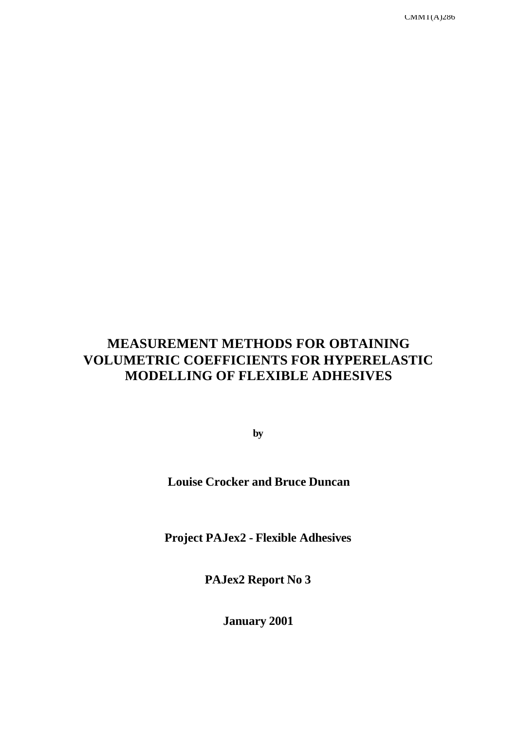CMMT(A)286

# **MEASUREMENT METHODS FOR OBTAINING VOLUMETRIC COEFFICIENTS FOR HYPERELASTIC MODELLING OF FLEXIBLE ADHESIVES**

**by**

**Louise Crocker and Bruce Duncan**

**Project PAJex2 - Flexible Adhesives**

**PAJex2 Report No 3**

**January 2001**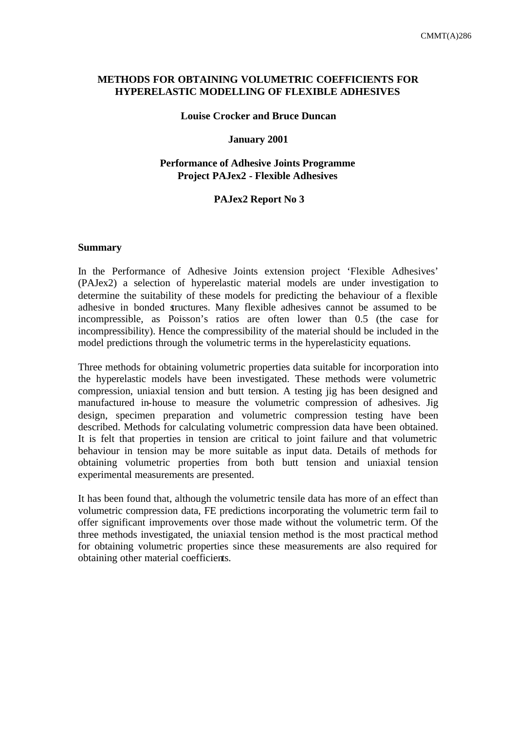# **METHODS FOR OBTAINING VOLUMETRIC COEFFICIENTS FOR HYPERELASTIC MODELLING OF FLEXIBLE ADHESIVES**

#### **Louise Crocker and Bruce Duncan**

#### **January 2001**

# **Performance of Adhesive Joints Programme Project PAJex2 - Flexible Adhesives**

#### **PAJex2 Report No 3**

#### **Summary**

In the Performance of Adhesive Joints extension project 'Flexible Adhesives' (PAJex2) a selection of hyperelastic material models are under investigation to determine the suitability of these models for predicting the behaviour of a flexible adhesive in bonded structures. Many flexible adhesives cannot be assumed to be incompressible, as Poisson's ratios are often lower than 0.5 (the case for incompressibility). Hence the compressibility of the material should be included in the model predictions through the volumetric terms in the hyperelasticity equations.

Three methods for obtaining volumetric properties data suitable for incorporation into the hyperelastic models have been investigated. These methods were volumetric compression, uniaxial tension and butt tension. A testing jig has been designed and manufactured in-house to measure the volumetric compression of adhesives. Jig design, specimen preparation and volumetric compression testing have been described. Methods for calculating volumetric compression data have been obtained. It is felt that properties in tension are critical to joint failure and that volumetric behaviour in tension may be more suitable as input data. Details of methods for obtaining volumetric properties from both butt tension and uniaxial tension experimental measurements are presented.

It has been found that, although the volumetric tensile data has more of an effect than volumetric compression data, FE predictions incorporating the volumetric term fail to offer significant improvements over those made without the volumetric term. Of the three methods investigated, the uniaxial tension method is the most practical method for obtaining volumetric properties since these measurements are also required for obtaining other material coefficients.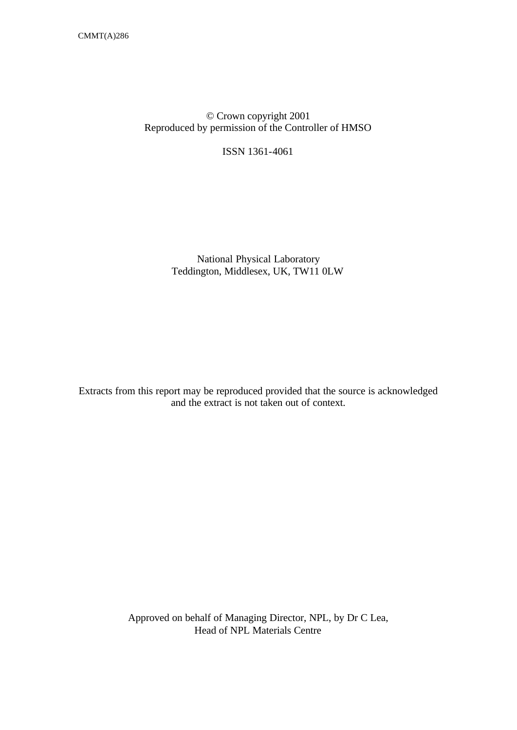# © Crown copyright 2001 Reproduced by permission of the Controller of HMSO

ISSN 1361-4061

National Physical Laboratory Teddington, Middlesex, UK, TW11 0LW

Extracts from this report may be reproduced provided that the source is acknowledged and the extract is not taken out of context.

> Approved on behalf of Managing Director, NPL, by Dr C Lea, Head of NPL Materials Centre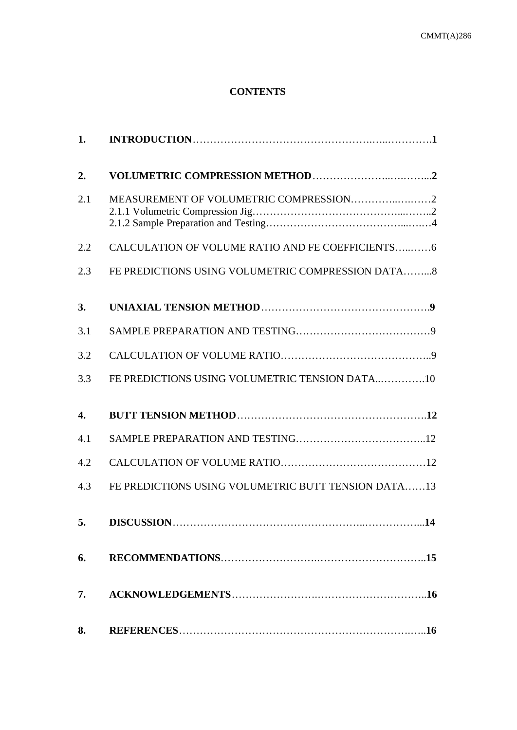# **CONTENTS**

| 1.               |                                                     |
|------------------|-----------------------------------------------------|
| 2.               |                                                     |
| 2.1              |                                                     |
| 2.2              | CALCULATION OF VOLUME RATIO AND FE COEFFICIENTS6    |
| 2.3              | FE PREDICTIONS USING VOLUMETRIC COMPRESSION DATA8   |
| 3.               |                                                     |
| 3.1              |                                                     |
| 3.2              |                                                     |
| 3.3              | FE PREDICTIONS USING VOLUMETRIC TENSION DATA10      |
| $\overline{4}$ . |                                                     |
| 4.1              |                                                     |
| 4.2              |                                                     |
| 4.3              | FE PREDICTIONS USING VOLUMETRIC BUTT TENSION DATA13 |
| 5.               |                                                     |
| 6.               |                                                     |
| 7.               |                                                     |
| 8.               |                                                     |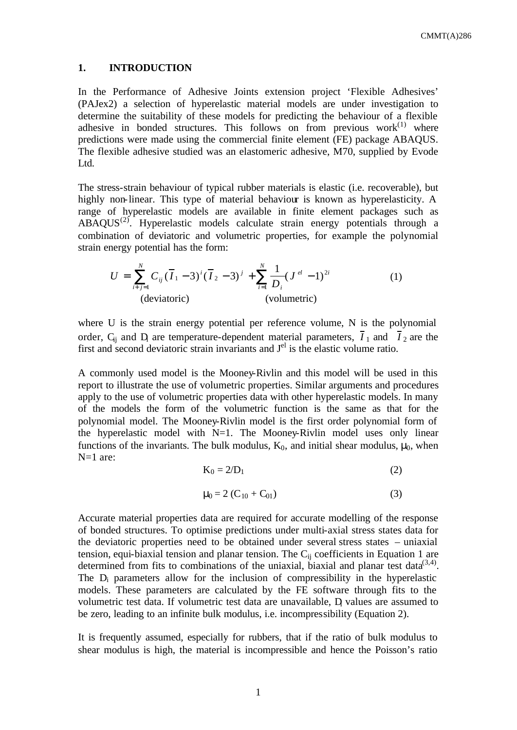#### **1. INTRODUCTION**

In the Performance of Adhesive Joints extension project 'Flexible Adhesives' (PAJex2) a selection of hyperelastic material models are under investigation to determine the suitability of these models for predicting the behaviour of a flexible adhesive in bonded structures. This follows on from previous work $(1)$  where predictions were made using the commercial finite element (FE) package ABAQUS. The flexible adhesive studied was an elastomeric adhesive, M70, supplied by Evode Ltd.

The stress-strain behaviour of typical rubber materials is elastic (i.e. recoverable), but highly non-linear. This type of material behaviour is known as hyperelasticity. A range of hyperelastic models are available in finite element packages such as  $ABAQUS<sup>(2)</sup>$ . Hyperelastic models calculate strain energy potentials through a combination of deviatoric and volumetric properties, for example the polynomial strain energy potential has the form:

$$
U = \sum_{i+j=1}^{N} C_{ij} (\overline{I}_1 - 3)^i (\overline{I}_2 - 3)^j + \sum_{i=1}^{N} \frac{1}{D_i} (J^{el} - 1)^{2i}
$$
 (1)  
(deviatoric) (volumetric)

where U is the strain energy potential per reference volume, N is the polynomial order,  $C_{ij}$  and  $D_i$  are temperature-dependent material parameters,  $I_1$  and  $I_2$  are the first and second deviatoric strain invariants and  $J<sup>el</sup>$  is the elastic volume ratio.

A commonly used model is the Mooney-Rivlin and this model will be used in this report to illustrate the use of volumetric properties. Similar arguments and procedures apply to the use of volumetric properties data with other hyperelastic models. In many of the models the form of the volumetric function is the same as that for the polynomial model. The Mooney-Rivlin model is the first order polynomial form of the hyperelastic model with  $N=1$ . The Mooney-Rivlin model uses only linear functions of the invariants. The bulk modulus,  $K_0$ , and initial shear modulus,  $\mu_0$ , when N=1 are:

$$
K_0 = 2/D_1 \tag{2}
$$

$$
\mu_0 = 2 (C_{10} + C_{01})
$$
 (3)

Accurate material properties data are required for accurate modelling of the response of bonded structures. To optimise predictions under multi-axial stress states data for the deviatoric properties need to be obtained under several stress states – uniaxial tension, equi-biaxial tension and planar tension. The  $C_{ii}$  coefficients in Equation 1 are determined from fits to combinations of the uniaxial, biaxial and planar test data<sup>(3,4)</sup>. The D<sub>i</sub> parameters allow for the inclusion of compressibility in the hyperelastic models. These parameters are calculated by the FE software through fits to the volumetric test data. If volumetric test data are unavailable, D values are assumed to be zero, leading to an infinite bulk modulus, i.e. incompressibility (Equation 2).

It is frequently assumed, especially for rubbers, that if the ratio of bulk modulus to shear modulus is high, the material is incompressible and hence the Poisson's ratio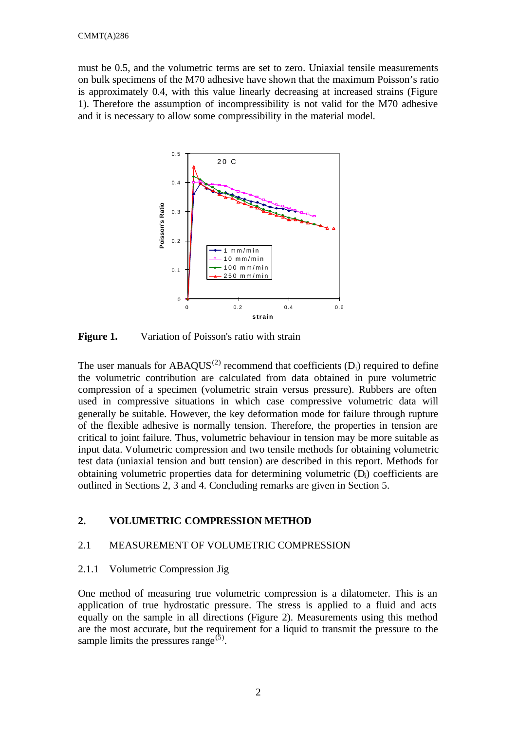must be 0.5, and the volumetric terms are set to zero. Uniaxial tensile measurements on bulk specimens of the M70 adhesive have shown that the maximum Poisson's ratio is approximately 0.4, with this value linearly decreasing at increased strains (Figure 1). Therefore the assumption of incompressibility is not valid for the M70 adhesive and it is necessary to allow some compressibility in the material model.



**Figure 1.** Variation of Poisson's ratio with strain

The user manuals for  $ABAOUS^{(2)}$  recommend that coefficients  $(D_i)$  required to define the volumetric contribution are calculated from data obtained in pure volumetric compression of a specimen (volumetric strain versus pressure). Rubbers are often used in compressive situations in which case compressive volumetric data will generally be suitable. However, the key deformation mode for failure through rupture of the flexible adhesive is normally tension. Therefore, the properties in tension are critical to joint failure. Thus, volumetric behaviour in tension may be more suitable as input data. Volumetric compression and two tensile methods for obtaining volumetric test data (uniaxial tension and butt tension) are described in this report. Methods for obtaining volumetric properties data for determining volumetric (Di) coefficients are outlined in Sections 2, 3 and 4. Concluding remarks are given in Section 5.

# **2. VOLUMETRIC COMPRESSION METHOD**

# 2.1 MEASUREMENT OF VOLUMETRIC COMPRESSION

# 2.1.1 Volumetric Compression Jig

One method of measuring true volumetric compression is a dilatometer. This is an application of true hydrostatic pressure. The stress is applied to a fluid and acts equally on the sample in all directions (Figure 2). Measurements using this method are the most accurate, but the requirement for a liquid to transmit the pressure to the sample limits the pressures range<sup>(5)</sup>.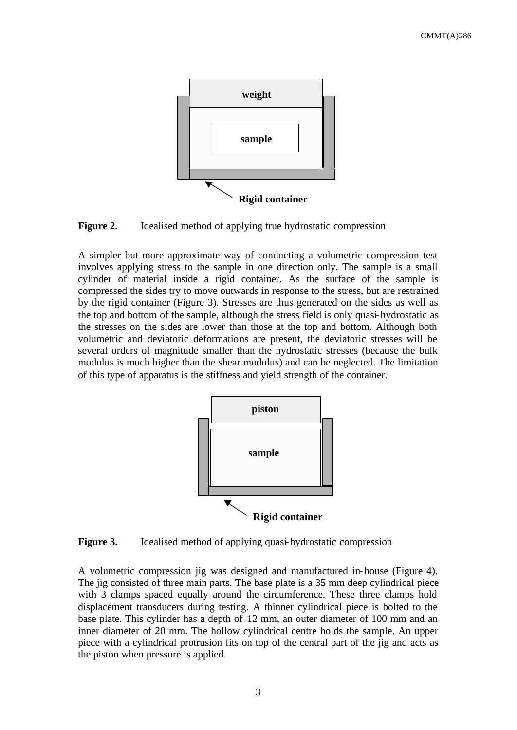

**Figure 2.** Idealised method of applying true hydrostatic compression

A simpler but more approximate way of conducting a volumetric compression test involves applying stress to the sample in one direction only. The sample is a small cylinder of material inside a rigid container. As the surface of the sample is compressed the sides try to move outwards in response to the stress, but are restrained by the rigid container (Figure 3). Stresses are thus generated on the sides as well as the top and bottom of the sample, although the stress field is only quasi-hydrostatic as the stresses on the sides are lower than those at the top and bottom. Although both volumetric and deviatoric deformations are present, the deviatoric stresses will be several orders of magnitude smaller than the hydrostatic stresses (because the bulk modulus is much higher than the shear modulus) and can be neglected. The limitation of this type of apparatus is the stiffness and yield strength of the container.



**Figure 3.** Idealised method of applying quasi-hydrostatic compression

A volumetric compression jig was designed and manufactured in-house (Figure 4). The jig consisted of three main parts. The base plate is a 35 mm deep cylindrical piece with 3 clamps spaced equally around the circumference. These three clamps hold displacement transducers during testing. A thinner cylindrical piece is bolted to the base plate. This cylinder has a depth of 12 mm, an outer diameter of 100 mm and an inner diameter of 20 mm. The hollow cylindrical centre holds the sample. An upper piece with a cylindrical protrusion fits on top of the central part of the jig and acts as the piston when pressure is applied.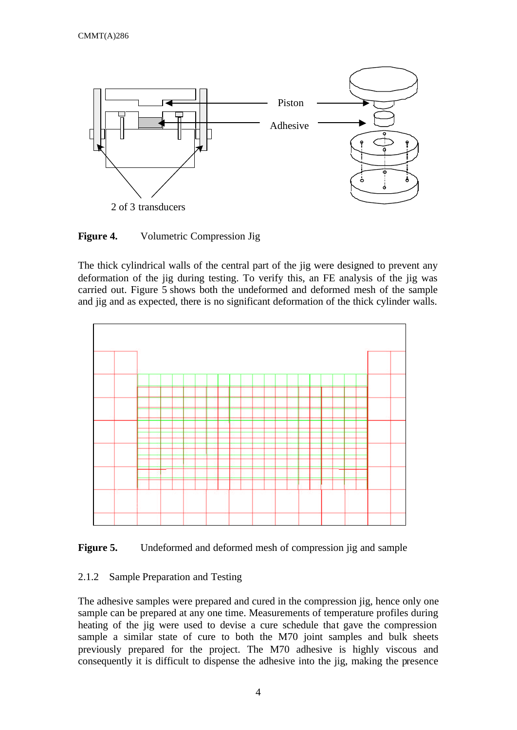

**Figure 4.** Volumetric Compression Jig

The thick cylindrical walls of the central part of the jig were designed to prevent any deformation of the jig during testing. To verify this, an FE analysis of the jig was carried out. Figure 5 shows both the undeformed and deformed mesh of the sample and jig and as expected, there is no significant deformation of the thick cylinder walls.



Figure 5. Undeformed and deformed mesh of compression jig and sample

# 2.1.2 Sample Preparation and Testing

The adhesive samples were prepared and cured in the compression jig, hence only one sample can be prepared at any one time. Measurements of temperature profiles during heating of the jig were used to devise a cure schedule that gave the compression sample a similar state of cure to both the M70 joint samples and bulk sheets previously prepared for the project. The M70 adhesive is highly viscous and consequently it is difficult to dispense the adhesive into the jig, making the presence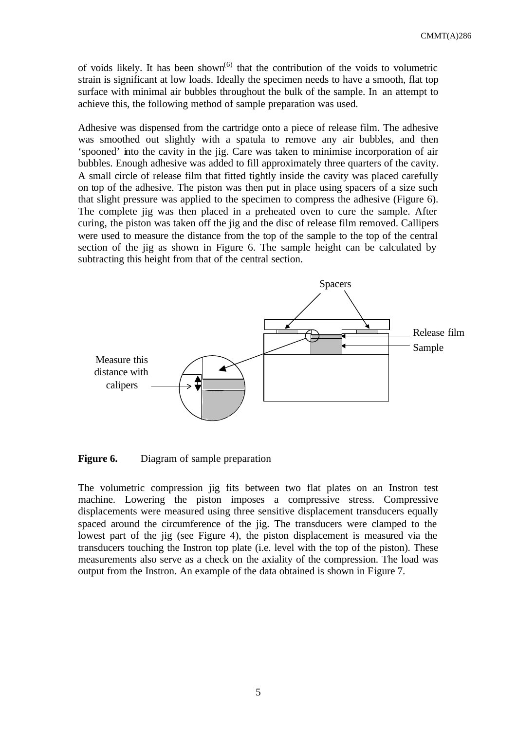of voids likely. It has been shown<sup> $(6)$ </sup> that the contribution of the voids to volumetric strain is significant at low loads. Ideally the specimen needs to have a smooth, flat top surface with minimal air bubbles throughout the bulk of the sample. In an attempt to achieve this, the following method of sample preparation was used.

Adhesive was dispensed from the cartridge onto a piece of release film. The adhesive was smoothed out slightly with a spatula to remove any air bubbles, and then 'spooned' into the cavity in the jig. Care was taken to minimise incorporation of air bubbles. Enough adhesive was added to fill approximately three quarters of the cavity. A small circle of release film that fitted tightly inside the cavity was placed carefully on top of the adhesive. The piston was then put in place using spacers of a size such that slight pressure was applied to the specimen to compress the adhesive (Figure 6). The complete jig was then placed in a preheated oven to cure the sample. After curing, the piston was taken off the jig and the disc of release film removed. Callipers were used to measure the distance from the top of the sample to the top of the central section of the jig as shown in Figure 6. The sample height can be calculated by subtracting this height from that of the central section.



**Figure 6.** Diagram of sample preparation

The volumetric compression jig fits between two flat plates on an Instron test machine. Lowering the piston imposes a compressive stress. Compressive displacements were measured using three sensitive displacement transducers equally spaced around the circumference of the jig. The transducers were clamped to the lowest part of the jig (see Figure 4), the piston displacement is measured via the transducers touching the Instron top plate (i.e. level with the top of the piston). These measurements also serve as a check on the axiality of the compression. The load was output from the Instron. An example of the data obtained is shown in Figure 7.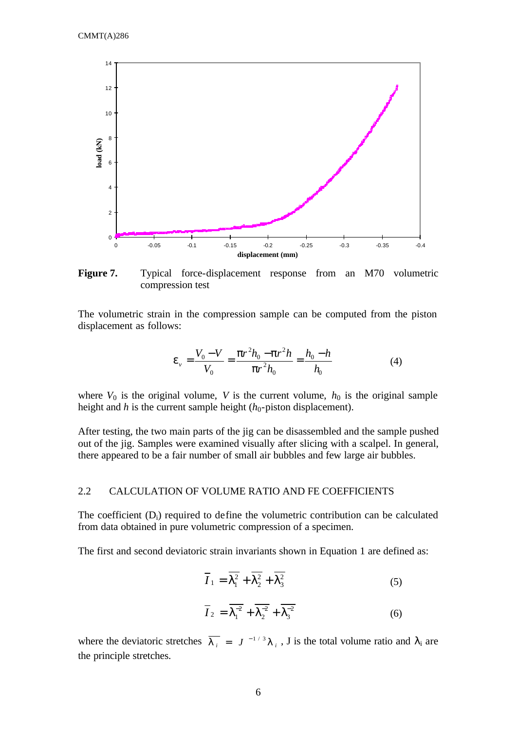

**Figure 7.** Typical force-displacement response from an M70 volumetric compression test

The volumetric strain in the compression sample can be computed from the piston displacement as follows:

$$
\mathbf{e}_{v} = \frac{V_0 - V}{V_0} = \frac{\mathbf{p}r^2 h_0 - \mathbf{p}r^2 h}{\mathbf{p}r^2 h_0} = \frac{h_0 - h}{h_0}
$$
(4)

where  $V_0$  is the original volume, *V* is the current volume,  $h_0$  is the original sample height and  $h$  is the current sample height  $(h_0$ -piston displacement).

After testing, the two main parts of the jig can be disassembled and the sample pushed out of the jig. Samples were examined visually after slicing with a scalpel. In general, there appeared to be a fair number of small air bubbles and few large air bubbles.

# 2.2 CALCULATION OF VOLUME RATIO AND FE COEFFICIENTS

The coefficient  $(D_i)$  required to define the volumetric contribution can be calculated from data obtained in pure volumetric compression of a specimen.

The first and second deviatoric strain invariants shown in Equation 1 are defined as:

$$
\overline{I}_1 = \overline{I_1^2} + \overline{I_2^2} + \overline{I_3^2}
$$
 (5)

$$
\overline{I}_2 = \overline{I_1^{2}} + \overline{I_2^{2}} + \overline{I_3^{2}}
$$
 (6)

where the deviatoric stretches  $\overline{I_i} = J^{-1/3} I_i$ , J is the total volume ratio and  $\lambda_i$  are the principle stretches.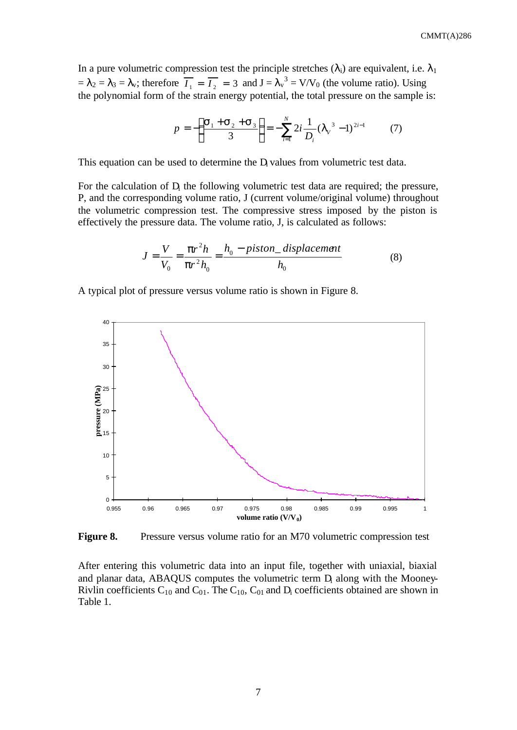In a pure volumetric compression test the principle stretches  $(\lambda_i)$  are equivalent, i.e.  $\lambda_1$  $= \lambda_2 = \lambda_3 = \lambda_v$ ; therefore  $\overline{I_1} = \overline{I_2} = 3$  and  $J = \lambda_v^3 = V/V_0$  (the volume ratio). Using the polynomial form of the strain energy potential, the total pressure on the sample is:

$$
p = -\left(\frac{\mathbf{S}_1 + \mathbf{S}_2 + \mathbf{S}_3}{3}\right) = -\sum_{i=1}^{N} 2i \frac{1}{D_i} (I_v^3 - 1)^{2i-1}
$$
 (7)

This equation can be used to determine the  $D<sub>i</sub>$  values from volumetric test data.

For the calculation of  $D<sub>i</sub>$  the following volumetric test data are required; the pressure, P, and the corresponding volume ratio, J (current volume/original volume) throughout the volumetric compression test. The compressive stress imposed by the piston is effectively the pressure data. The volume ratio, J, is calculated as follows:

$$
J = \frac{V}{V_0} = \frac{pr^2 h}{pr^2 h_0} = \frac{h_0 - piston\_displacement}{h_0}
$$
 (8)

A typical plot of pressure versus volume ratio is shown in Figure 8.



**Figure 8.** Pressure versus volume ratio for an M70 volumetric compression test

After entering this volumetric data into an input file, together with uniaxial, biaxial and planar data, ABAQUS computes the volumetric term  $D<sub>i</sub>$  along with the Mooney-Rivlin coefficients  $C_{10}$  and  $C_{01}$ . The  $C_{10}$ ,  $C_{01}$  and  $D_i$  coefficients obtained are shown in Table 1.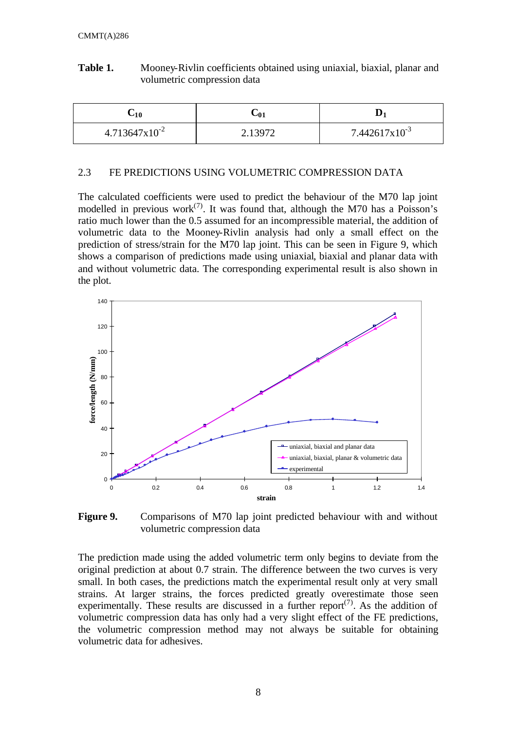| Table 1. | Mooney-Rivlin coefficients obtained using uniaxial, biaxial, planar and |
|----------|-------------------------------------------------------------------------|
|          | volumetric compression data                                             |

| $\mathsf{L}_{10}$  | $\cup$ 01 |                    |
|--------------------|-----------|--------------------|
| $4.713647x10^{-2}$ |           | $7.442617x10^{-3}$ |

#### 2.3 FE PREDICTIONS USING VOLUMETRIC COMPRESSION DATA

The calculated coefficients were used to predict the behaviour of the M70 lap joint modelled in previous work<sup>(7)</sup>. It was found that, although the M70 has a Poisson's ratio much lower than the 0.5 assumed for an incompressible material, the addition of volumetric data to the Mooney-Rivlin analysis had only a small effect on the prediction of stress/strain for the M70 lap joint. This can be seen in Figure 9, which shows a comparison of predictions made using uniaxial, biaxial and planar data with and without volumetric data. The corresponding experimental result is also shown in the plot.



**Figure 9.** Comparisons of M70 lap joint predicted behaviour with and without volumetric compression data

The prediction made using the added volumetric term only begins to deviate from the original prediction at about 0.7 strain. The difference between the two curves is very small. In both cases, the predictions match the experimental result only at very small strains. At larger strains, the forces predicted greatly overestimate those seen experimentally. These results are discussed in a further report<sup> $(7)$ </sup>. As the addition of volumetric compression data has only had a very slight effect of the FE predictions, the volumetric compression method may not always be suitable for obtaining volumetric data for adhesives.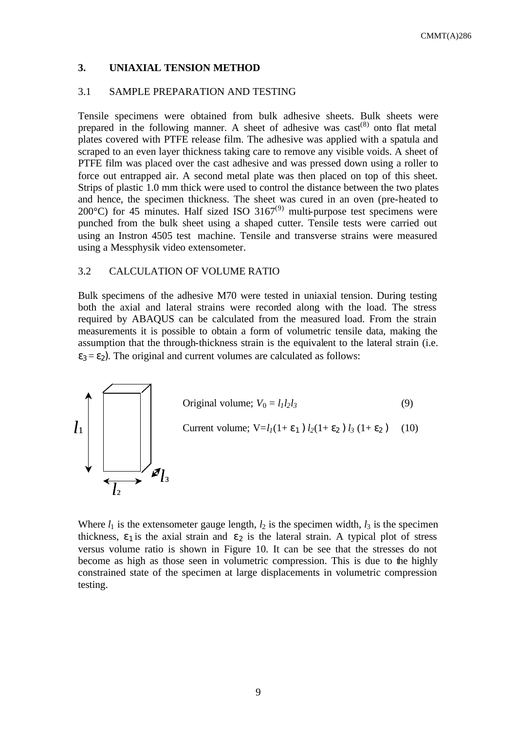### **3. UNIAXIAL TENSION METHOD**

# 3.1 SAMPLE PREPARATION AND TESTING

Tensile specimens were obtained from bulk adhesive sheets. Bulk sheets were prepared in the following manner. A sheet of adhesive was  $\text{cast}^{(8)}$  onto flat metal plates covered with PTFE release film. The adhesive was applied with a spatula and scraped to an even layer thickness taking care to remove any visible voids. A sheet of PTFE film was placed over the cast adhesive and was pressed down using a roller to force out entrapped air. A second metal plate was then placed on top of this sheet. Strips of plastic 1.0 mm thick were used to control the distance between the two plates and hence, the specimen thickness. The sheet was cured in an oven (pre-heated to 200 $^{\circ}$ C) for 45 minutes. Half sized ISO 3167 $^{(9)}$  multi-purpose test specimens were punched from the bulk sheet using a shaped cutter. Tensile tests were carried out using an Instron 4505 test machine. Tensile and transverse strains were measured using a Messphysik video extensometer.

### 3.2 CALCULATION OF VOLUME RATIO

Bulk specimens of the adhesive M70 were tested in uniaxial tension. During testing both the axial and lateral strains were recorded along with the load. The stress required by ABAQUS can be calculated from the measured load. From the strain measurements it is possible to obtain a form of volumetric tensile data, making the assumption that the through-thickness strain is the equivalent to the lateral strain (i.e.  $\varepsilon_3 = \varepsilon_2$ ). The original and current volumes are calculated as follows:



Where  $l_1$  is the extensometer gauge length,  $l_2$  is the specimen width,  $l_3$  is the specimen thickness,  $\varepsilon_1$  is the axial strain and  $\varepsilon_2$  is the lateral strain. A typical plot of stress versus volume ratio is shown in Figure 10. It can be see that the stresses do not become as high as those seen in volumetric compression. This is due to the highly constrained state of the specimen at large displacements in volumetric compression testing.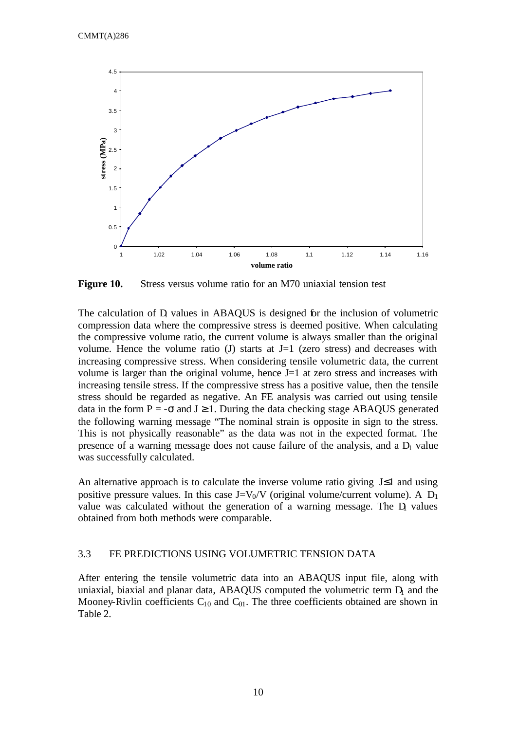

**Figure 10.** Stress versus volume ratio for an M70 uniaxial tension test

The calculation of D values in ABAQUS is designed for the inclusion of volumetric compression data where the compressive stress is deemed positive. When calculating the compressive volume ratio, the current volume is always smaller than the original volume. Hence the volume ratio  $(J)$  starts at  $J=1$  (zero stress) and decreases with increasing compressive stress. When considering tensile volumetric data, the current volume is larger than the original volume, hence J=1 at zero stress and increases with increasing tensile stress. If the compressive stress has a positive value, then the tensile stress should be regarded as negative. An FE analysis was carried out using tensile data in the form  $P = -\sigma$  and  $J \ge 1$ . During the data checking stage ABAQUS generated the following warning message "The nominal strain is opposite in sign to the stress. This is not physically reasonable" as the data was not in the expected format. The presence of a warning message does not cause failure of the analysis, and a  $D<sub>1</sub>$  value was successfully calculated.

An alternative approach is to calculate the inverse volume ratio giving J≤1 and using positive pressure values. In this case  $J=V_0/V$  (original volume/current volume). A  $D_1$ value was calculated without the generation of a warning message. The  $D<sub>1</sub>$  values obtained from both methods were comparable.

# 3.3 FE PREDICTIONS USING VOLUMETRIC TENSION DATA

After entering the tensile volumetric data into an ABAQUS input file, along with uniaxial, biaxial and planar data, ABAQUS computed the volumetric term  $D<sub>1</sub>$  and the Mooney-Rivlin coefficients  $C_{10}$  and  $C_{01}$ . The three coefficients obtained are shown in Table 2.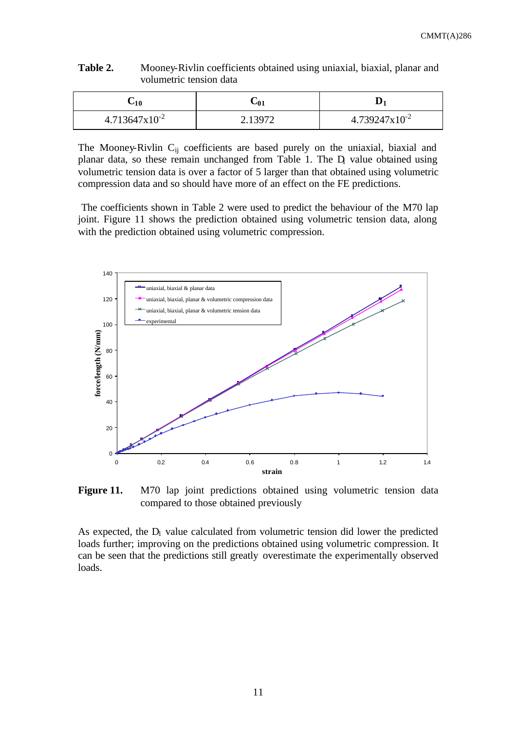| $-10$                     |                    |
|---------------------------|--------------------|
| $4.713647 \times 10^{-2}$ | $4.739247x10^{-2}$ |

**Table 2.** Mooney-Rivlin coefficients obtained using uniaxial, biaxial, planar and volumetric tension data

The Mooney-Rivlin C<sub>ij</sub> coefficients are based purely on the uniaxial, biaxial and planar data, so these remain unchanged from Table 1. The D<sub>1</sub> value obtained using volumetric tension data is over a factor of 5 larger than that obtained using volumetric compression data and so should have more of an effect on the FE predictions.

 The coefficients shown in Table 2 were used to predict the behaviour of the M70 lap joint. Figure 11 shows the prediction obtained using volumetric tension data, along with the prediction obtained using volumetric compression.



Figure 11. M70 lap joint predictions obtained using volumetric tension data compared to those obtained previously

As expected, the  $D_1$  value calculated from volumetric tension did lower the predicted loads further; improving on the predictions obtained using volumetric compression. It can be seen that the predictions still greatly overestimate the experimentally observed loads.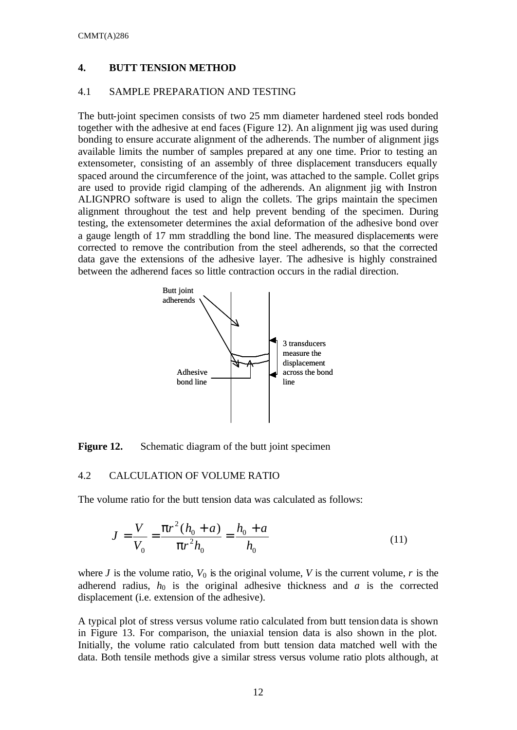### **4. BUTT TENSION METHOD**

# 4.1 SAMPLE PREPARATION AND TESTING

The butt-joint specimen consists of two 25 mm diameter hardened steel rods bonded together with the adhesive at end faces (Figure 12). An alignment jig was used during bonding to ensure accurate alignment of the adherends. The number of alignment jigs available limits the number of samples prepared at any one time. Prior to testing an extensometer, consisting of an assembly of three displacement transducers equally spaced around the circumference of the joint, was attached to the sample. Collet grips are used to provide rigid clamping of the adherends. An alignment jig with Instron ALIGNPRO software is used to align the collets. The grips maintain the specimen alignment throughout the test and help prevent bending of the specimen. During testing, the extensometer determines the axial deformation of the adhesive bond over a gauge length of 17 mm straddling the bond line. The measured displacements were corrected to remove the contribution from the steel adherends, so that the corrected data gave the extensions of the adhesive layer. The adhesive is highly constrained between the adherend faces so little contraction occurs in the radial direction.



**Figure 12.** Schematic diagram of the butt joint specimen

# 4.2 CALCULATION OF VOLUME RATIO

The volume ratio for the butt tension data was calculated as follows:

$$
J = \frac{V}{V_0} = \frac{pr^2(h_0 + a)}{pr^2h_0} = \frac{h_0 + a}{h_0}
$$
(11)

where *J* is the volume ratio,  $V_0$  is the original volume, *V* is the current volume, *r* is the adherend radius,  $h_0$  is the original adhesive thickness and *a* is the corrected displacement (i.e. extension of the adhesive).

A typical plot of stress versus volume ratio calculated from butt tension data is shown in Figure 13. For comparison, the uniaxial tension data is also shown in the plot. Initially, the volume ratio calculated from butt tension data matched well with the data. Both tensile methods give a similar stress versus volume ratio plots although, at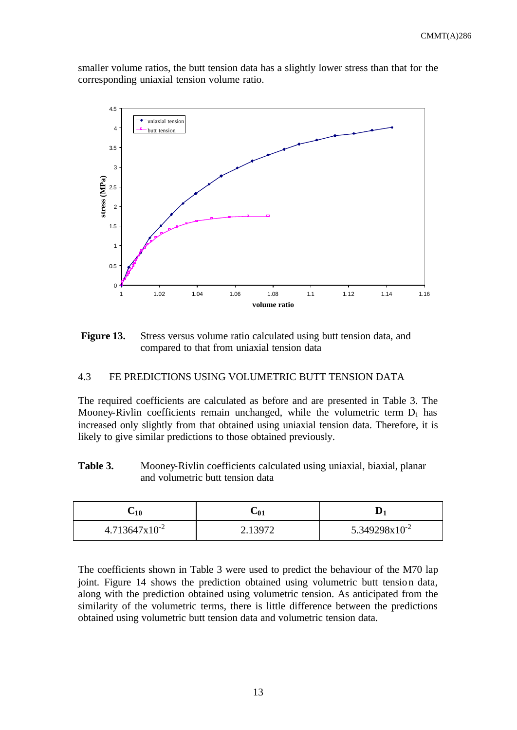smaller volume ratios, the butt tension data has a slightly lower stress than that for the corresponding uniaxial tension volume ratio.



**Figure 13.** Stress versus volume ratio calculated using butt tension data, and compared to that from uniaxial tension data

# 4.3 FE PREDICTIONS USING VOLUMETRIC BUTT TENSION DATA

The required coefficients are calculated as before and are presented in Table 3. The Mooney-Rivlin coefficients remain unchanged, while the volumetric term  $D_1$  has increased only slightly from that obtained using uniaxial tension data. Therefore, it is likely to give similar predictions to those obtained previously.

Table 3. Mooney-Rivlin coefficients calculated using uniaxial, biaxial, planar and volumetric butt tension data

| $\mathsf{u}_1$            | $\mathbin{\smash{\cup}} 01$ | ∼                  |
|---------------------------|-----------------------------|--------------------|
| $4.713647 \times 10^{-2}$ |                             | $5.349298x10^{-2}$ |

The coefficients shown in Table 3 were used to predict the behaviour of the M70 lap joint. Figure 14 shows the prediction obtained using volumetric butt tension data, along with the prediction obtained using volumetric tension. As anticipated from the similarity of the volumetric terms, there is little difference between the predictions obtained using volumetric butt tension data and volumetric tension data.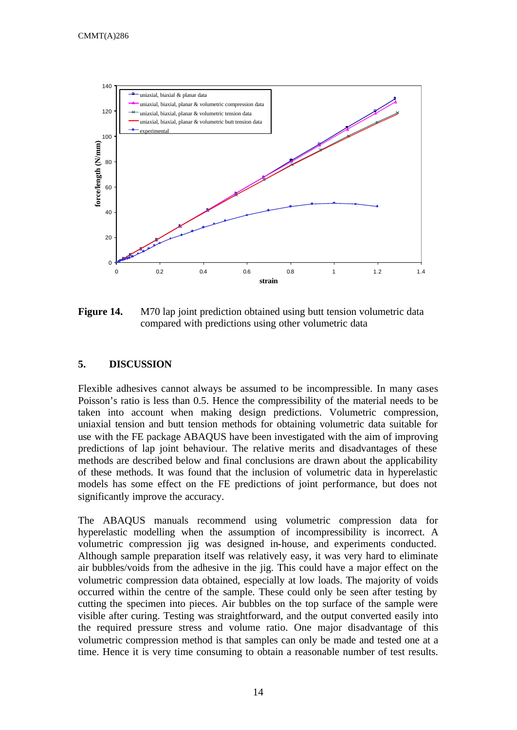

**Figure 14.** M70 lap joint prediction obtained using butt tension volumetric data compared with predictions using other volumetric data

### **5. DISCUSSION**

Flexible adhesives cannot always be assumed to be incompressible. In many cases Poisson's ratio is less than 0.5. Hence the compressibility of the material needs to be taken into account when making design predictions. Volumetric compression, uniaxial tension and butt tension methods for obtaining volumetric data suitable for use with the FE package ABAQUS have been investigated with the aim of improving predictions of lap joint behaviour. The relative merits and disadvantages of these methods are described below and final conclusions are drawn about the applicability of these methods. It was found that the inclusion of volumetric data in hyperelastic models has some effect on the FE predictions of joint performance, but does not significantly improve the accuracy.

The ABAQUS manuals recommend using volumetric compression data for hyperelastic modelling when the assumption of incompressibility is incorrect. A volumetric compression jig was designed in-house, and experiments conducted. Although sample preparation itself was relatively easy, it was very hard to eliminate air bubbles/voids from the adhesive in the jig. This could have a major effect on the volumetric compression data obtained, especially at low loads. The majority of voids occurred within the centre of the sample. These could only be seen after testing by cutting the specimen into pieces. Air bubbles on the top surface of the sample were visible after curing. Testing was straightforward, and the output converted easily into the required pressure stress and volume ratio. One major disadvantage of this volumetric compression method is that samples can only be made and tested one at a time. Hence it is very time consuming to obtain a reasonable number of test results.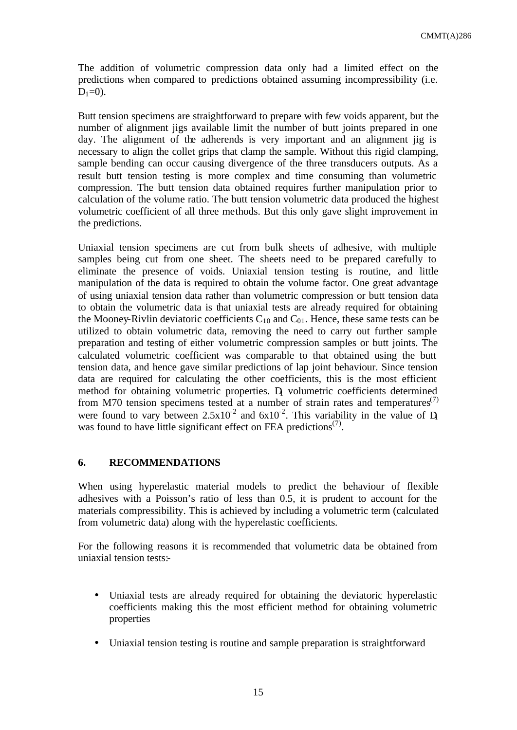The addition of volumetric compression data only had a limited effect on the predictions when compared to predictions obtained assuming incompressibility (i.e.  $D_1=0$ ).

Butt tension specimens are straightforward to prepare with few voids apparent, but the number of alignment jigs available limit the number of butt joints prepared in one day. The alignment of the adherends is very important and an alignment jig is necessary to align the collet grips that clamp the sample. Without this rigid clamping, sample bending can occur causing divergence of the three transducers outputs. As a result butt tension testing is more complex and time consuming than volumetric compression. The butt tension data obtained requires further manipulation prior to calculation of the volume ratio. The butt tension volumetric data produced the highest volumetric coefficient of all three methods. But this only gave slight improvement in the predictions.

Uniaxial tension specimens are cut from bulk sheets of adhesive, with multiple samples being cut from one sheet. The sheets need to be prepared carefully to eliminate the presence of voids. Uniaxial tension testing is routine, and little manipulation of the data is required to obtain the volume factor. One great advantage of using uniaxial tension data rather than volumetric compression or butt tension data to obtain the volumetric data is that uniaxial tests are already required for obtaining the Mooney-Rivlin deviatoric coefficients  $C_{10}$  and  $C_{01}$ . Hence, these same tests can be utilized to obtain volumetric data, removing the need to carry out further sample preparation and testing of either volumetric compression samples or butt joints. The calculated volumetric coefficient was comparable to that obtained using the butt tension data, and hence gave similar predictions of lap joint behaviour. Since tension data are required for calculating the other coefficients, this is the most efficient method for obtaining volumetric properties. D volumetric coefficients determined from M70 tension specimens tested at a number of strain rates and temperatures<sup> $(7)$ </sup> were found to vary between  $2.5 \times 10^{-2}$  and  $6 \times 10^{-2}$ . This variability in the value of D was found to have little significant effect on FEA predictions<sup> $(7)$ </sup>.

### **6. RECOMMENDATIONS**

When using hyperelastic material models to predict the behaviour of flexible adhesives with a Poisson's ratio of less than 0.5, it is prudent to account for the materials compressibility. This is achieved by including a volumetric term (calculated from volumetric data) along with the hyperelastic coefficients.

For the following reasons it is recommended that volumetric data be obtained from uniaxial tension tests:-

- Uniaxial tests are already required for obtaining the deviatoric hyperelastic coefficients making this the most efficient method for obtaining volumetric properties
- Uniaxial tension testing is routine and sample preparation is straightforward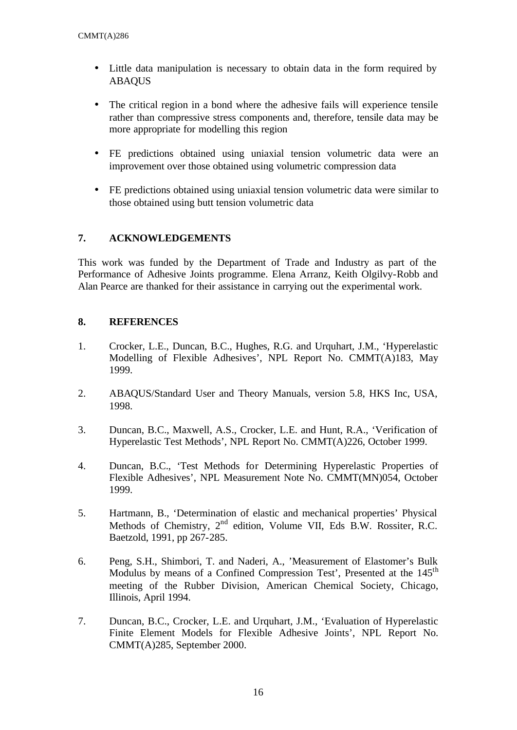- Little data manipulation is necessary to obtain data in the form required by ABAQUS
- The critical region in a bond where the adhesive fails will experience tensile rather than compressive stress components and, therefore, tensile data may be more appropriate for modelling this region
- FE predictions obtained using uniaxial tension volumetric data were an improvement over those obtained using volumetric compression data
- FE predictions obtained using uniaxial tension volumetric data were similar to those obtained using butt tension volumetric data

# **7. ACKNOWLEDGEMENTS**

This work was funded by the Department of Trade and Industry as part of the Performance of Adhesive Joints programme. Elena Arranz, Keith Olgilvy-Robb and Alan Pearce are thanked for their assistance in carrying out the experimental work.

# **8. REFERENCES**

- 1. Crocker, L.E., Duncan, B.C., Hughes, R.G. and Urquhart, J.M., 'Hyperelastic Modelling of Flexible Adhesives', NPL Report No. CMMT(A)183, May 1999.
- 2. ABAQUS/Standard User and Theory Manuals, version 5.8, HKS Inc, USA, 1998.
- 3. Duncan, B.C., Maxwell, A.S., Crocker, L.E. and Hunt, R.A., 'Verification of Hyperelastic Test Methods', NPL Report No. CMMT(A)226, October 1999.
- 4. Duncan, B.C., 'Test Methods for Determining Hyperelastic Properties of Flexible Adhesives', NPL Measurement Note No. CMMT(MN)054, October 1999.
- 5. Hartmann, B., 'Determination of elastic and mechanical properties' Physical Methods of Chemistry, 2<sup>nd</sup> edition, Volume VII, Eds B.W. Rossiter, R.C. Baetzold, 1991, pp 267-285.
- 6. Peng, S.H., Shimbori, T. and Naderi, A., 'Measurement of Elastomer's Bulk Modulus by means of a Confined Compression Test', Presented at the 145<sup>th</sup> meeting of the Rubber Division, American Chemical Society, Chicago, Illinois, April 1994.
- 7. Duncan, B.C., Crocker, L.E. and Urquhart, J.M., 'Evaluation of Hyperelastic Finite Element Models for Flexible Adhesive Joints', NPL Report No. CMMT(A)285, September 2000.